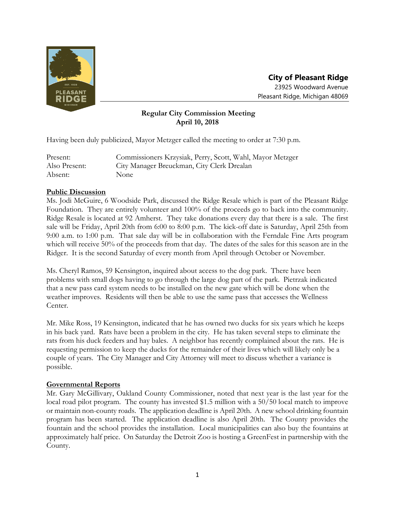

# **City of Pleasant Ridge** 23925 Woodward Avenue Pleasant Ridge, Michigan 48069

# **Regular City Commission Meeting April 10, 2018**

Having been duly publicized, Mayor Metzger called the meeting to order at 7:30 p.m.

| Present:      | Commissioners Krzysiak, Perry, Scott, Wahl, Mayor Metzger |
|---------------|-----------------------------------------------------------|
| Also Present: | City Manager Breuckman, City Clerk Drealan                |
| Absent:       | <b>None</b>                                               |

## **Public Discussion**

Ms. Jodi McGuire, 6 Woodside Park, discussed the Ridge Resale which is part of the Pleasant Ridge Foundation. They are entirely volunteer and 100% of the proceeds go to back into the community. Ridge Resale is located at 92 Amherst. They take donations every day that there is a sale. The first sale will be Friday, April 20th from 6:00 to 8:00 p.m. The kick-off date is Saturday, April 25th from 9:00 a.m. to 1:00 p.m. That sale day will be in collaboration with the Ferndale Fine Arts program which will receive 50% of the proceeds from that day. The dates of the sales for this season are in the Ridger. It is the second Saturday of every month from April through October or November.

Ms. Cheryl Ramos, 59 Kensington, inquired about access to the dog park. There have been problems with small dogs having to go through the large dog part of the park. Pietrzak indicated that a new pass card system needs to be installed on the new gate which will be done when the weather improves. Residents will then be able to use the same pass that accesses the Wellness Center.

Mr. Mike Ross, 19 Kensington, indicated that he has owned two ducks for six years which he keeps in his back yard. Rats have been a problem in the city. He has taken several steps to eliminate the rats from his duck feeders and hay bales. A neighbor has recently complained about the rats. He is requesting permission to keep the ducks for the remainder of their lives which will likely only be a couple of years. The City Manager and City Attorney will meet to discuss whether a variance is possible.

## **Governmental Reports**

Mr. Gary McGillivary, Oakland County Commissioner, noted that next year is the last year for the local road pilot program. The county has invested \$1.5 million with a 50/50 local match to improve or maintain non-county roads. The application deadline is April 20th. A new school drinking fountain program has been started. The application deadline is also April 20th. The County provides the fountain and the school provides the installation. Local municipalities can also buy the fountains at approximately half price. On Saturday the Detroit Zoo is hosting a GreenFest in partnership with the County.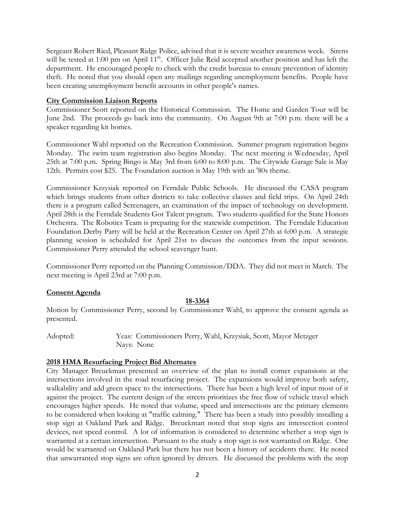Sergeant Robert Ried, Pleasant Ridge Police, advised that it is severe weather awareness week. Sirens will be tested at 1:00 pm on April 11<sup>th</sup>. Officer Julie Reid accepted another position and has left the department. He encouraged people to check with the credit bureaus to ensure prevention of identity theft. He noted that you should open any mailings regarding unemployment benefits. People have been creating unemployment benefit accounts in other people's names.

#### **City Commission Liaison Reports**

Commissioner Scott reported on the Historical Commission. The Home and Garden Tour will be June 2nd. The proceeds go back into the community. On August 9th at 7:00 p.m. there will be a speaker regarding kit homes.

Commissioner Wahl reported on the Recreation Commission. Summer program registration begins Monday. The swim team registration also begins Monday. The next meeting is Wednesday, April 25th at 7:00 p.m. Spring Bingo is May 3rd from 6:00 to 8:00 p.m. The Citywide Garage Sale is May 12th. Permits cost \$25. The Foundation auction is May 19th with an '80s theme.

Commissioner Krzysiak reported on Ferndale Public Schools. He discussed the CASA program which brings students from other districts to take collective classes and field trips. On April 24th there is a program called Screenagers, an examination of the impact of technology on development. April 28th is the Ferndale Students Got Talent program. Two students qualified for the State Honors Orchestra. The Robotics Team is preparing for the statewide competition. The Ferndale Education Foundation Derby Party will be held at the Recreation Center on April 27th at 6:00 p.m. A strategic planning session is scheduled for April 21st to discuss the outcomes from the input sessions. Commissioner Perry attended the school scavenger hunt.

Commissioner Perry reported on the Planning Commission/DDA. They did not meet in March. The next meeting is April 23rd at 7:00 p.m.

## **Consent Agenda**

## **18-3364**

Motion by Commissioner Perry, second by Commissioner Wahl, to approve the consent agenda as presented.

Adopted: Yeas: Commissioners Perry, Wahl, Krzysiak, Scott, Mayor Metzger Nays: None

## **2018 HMA Resurfacing Project Bid Alternates**

City Manager Breuckman presented an overview of the plan to install corner expansions at the intersections involved in the road resurfacing project. The expansions would improve both safety, walkability and add green space to the intersections. There has been a high level of input most of it against the project. The current design of the streets prioritizes the free flow of vehicle travel which encourages higher speeds. He noted that volume, speed and intersections are the primary elements to be considered when looking at "traffic calming." There has been a study into possibly installing a stop sign at Oakland Park and Ridge. Breuckman noted that stop signs are intersection control devices, not speed control. A lot of information is considered to determine whether a stop sign is warranted at a certain intersection. Pursuant to the study a stop sign is not warranted on Ridge. One would be warranted on Oakland Park but there has not been a history of accidents there. He noted that unwarranted stop signs are often ignored by drivers. He discussed the problems with the stop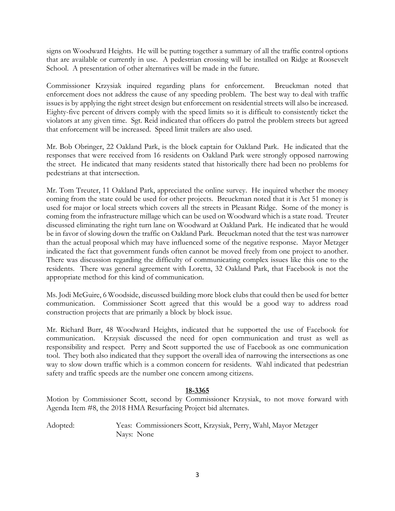signs on Woodward Heights. He will be putting together a summary of all the traffic control options that are available or currently in use. A pedestrian crossing will be installed on Ridge at Roosevelt School. A presentation of other alternatives will be made in the future.

Commissioner Krzysiak inquired regarding plans for enforcement. Breuckman noted that enforcement does not address the cause of any speeding problem. The best way to deal with traffic issues is by applying the right street design but enforcement on residential streets will also be increased. Eighty-five percent of drivers comply with the speed limits so it is difficult to consistently ticket the violators at any given time. Sgt. Reid indicated that officers do patrol the problem streets but agreed that enforcement will be increased. Speed limit trailers are also used.

Mr. Bob Obringer, 22 Oakland Park, is the block captain for Oakland Park. He indicated that the responses that were received from 16 residents on Oakland Park were strongly opposed narrowing the street. He indicated that many residents stated that historically there had been no problems for pedestrians at that intersection.

Mr. Tom Treuter, 11 Oakland Park, appreciated the online survey. He inquired whether the money coming from the state could be used for other projects. Breuckman noted that it is Act 51 money is used for major or local streets which covers all the streets in Pleasant Ridge. Some of the money is coming from the infrastructure millage which can be used on Woodward which is a state road. Treuter discussed eliminating the right turn lane on Woodward at Oakland Park. He indicated that he would be in favor of slowing down the traffic on Oakland Park. Breuckman noted that the test was narrower than the actual proposal which may have influenced some of the negative response. Mayor Metzger indicated the fact that government funds often cannot be moved freely from one project to another. There was discussion regarding the difficulty of communicating complex issues like this one to the residents. There was general agreement with Loretta, 32 Oakland Park, that Facebook is not the appropriate method for this kind of communication.

Ms. Jodi McGuire, 6 Woodside, discussed building more block clubs that could then be used for better communication. Commissioner Scott agreed that this would be a good way to address road construction projects that are primarily a block by block issue.

Mr. Richard Burr, 48 Woodward Heights, indicated that he supported the use of Facebook for communication. Krzysiak discussed the need for open communication and trust as well as responsibility and respect. Perry and Scott supported the use of Facebook as one communication tool. They both also indicated that they support the overall idea of narrowing the intersections as one way to slow down traffic which is a common concern for residents. Wahl indicated that pedestrian safety and traffic speeds are the number one concern among citizens.

## **18-3365**

Motion by Commissioner Scott, second by Commissioner Krzysiak, to not move forward with Agenda Item #8, the 2018 HMA Resurfacing Project bid alternates.

Adopted: Yeas: Commissioners Scott, Krzysiak, Perry, Wahl, Mayor Metzger Nays: None